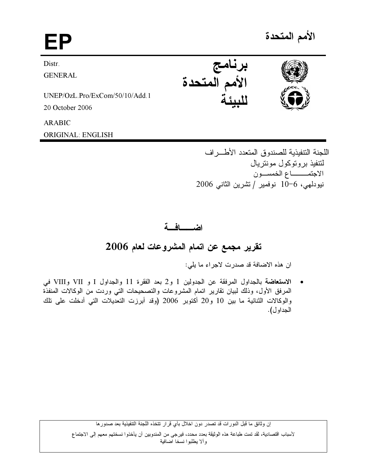# EP

الأمم المتحدة

**Distr** 

**GENERAL** 

UNEP/OzL.Pro/ExCom/50/10/Add.1 20 October 2006

**ARABIC** 

**ORIGINAL: ENGLISH** 

برنامج<br>الأمم المتحدة



اللجنة التتفيذية للصندوق المتعدد الأطراف لتتفيذ بر و توكول مونتر بال الاجتمــــاع الخمسـون نيودلهي، 6−10 نوفمير / تشرين الثاني 2006

# اضعافة

تقرير مجمع عن اتمام المشروعات لعام 2006

ان هذه الاضافة قد صدرت لاجراء ما يلي:

الاستعاضة بالجداول المرفقة عن الجدولين 1 و2 بعد الفقرة 11 والجداول I و VII وVII في  $\bullet$ المرفق الأول، وذلك لبيان تقارير اتمام المشروعات والتصحيحات التي وردت من الوكالات المنفذة والوكالات الثنائية ما بين 10 و20 أكتوبر 2006 (وقد أبرزت التعديلات التي أدخلت على تلك الجداو ل).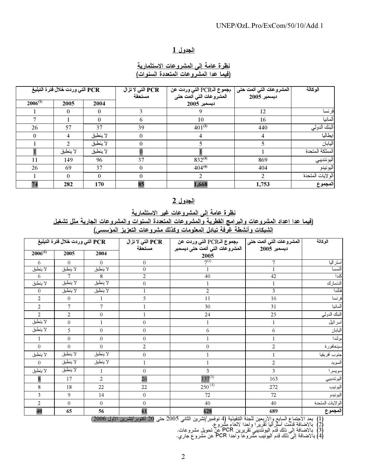# الجدول 1

## نظرة عامة إلى المشروعات الاستثمارية (فيما عدا المشروعات المتعددة السنوات)

|              | PCR التي وردت خلال فترة التبليغ |          | PCR التي لا تز ال<br>مستحقة | مجموع الـPCR التي وردت عن<br>المشروعات التي أتمت حتى | المشروعات التي أتمت حتى<br>ديسمبر 2005 | الوكالة          |
|--------------|---------------------------------|----------|-----------------------------|------------------------------------------------------|----------------------------------------|------------------|
| $2006^{(1)}$ | 2005                            | 2004     |                             | ديسمبر 2005                                          |                                        |                  |
|              | $\theta$                        | $\Omega$ |                             |                                                      | 12                                     | فرنسا            |
|              |                                 | $\theta$ | 6                           | 10                                                   | 16                                     | ألمانيا          |
| 26           | 57                              | 37       | 39                          | $401^{(2)}$                                          | 440                                    | البنك الدولي     |
| $\theta$     | 4                               | لا ينطبق | $\theta$                    |                                                      |                                        | ابطاليا          |
|              | $\mathfrak{D}$                  | لا ينطبق | $\theta$                    |                                                      |                                        | اليابان          |
|              | لا ينطبق                        | لا ينطبق |                             |                                                      |                                        | المملكة المتحدة  |
| 11           | 149                             | 96       | 37                          | $832^{(3)}$                                          | 869                                    | اليوئنديبي       |
| 26           | 69                              | 37       | $\Omega$                    | $404^{(4)}$                                          | 404                                    | اليونيدو         |
|              | $\Omega$                        | $\theta$ | $\Omega$                    | $\mathfrak{D}$                                       | $\mathfrak{D}$                         | الولايات المتحدة |
| 74           | 282                             | 170      | 85                          | 1,668                                                | 1,753                                  | المجموع          |

#### <u>الجدول 2</u>

# نظرة عامة إلى المشروعات غير الاستثمارية

(فيما عدا اعداد المشروعات وإليرامج القطربة والمشروعات المتعددة السنوات والمشروعات الجاربة مثل تشغيل 

|                | PCR التي وردت خلال فترة التبليغ |                  | PCR التي لا تزال | المشروعات التي أتمت حتى   مجموع الـPCR التي وردت عن |                | الوكالة          |
|----------------|---------------------------------|------------------|------------------|-----------------------------------------------------|----------------|------------------|
| $2006^{(1)}$   | 2005                            | 2004             | مستحقة           | المشروعات التي أتمت حتى ديسمبر<br>2005              | ديسمبر 2005    |                  |
| 6              | $\theta$                        | $\theta$         | $\overline{0}$   | $7^{(2)}$                                           | 7              | استراليا         |
| لا ينطبق       | لا ينطبق                        | لا ينطبق         | $\overline{0}$   |                                                     |                | النمسا           |
| 6              | 7                               | 8                | $\overline{2}$   | 40                                                  | 42             | كندا             |
| لا ينطبق       | لا ينطبق                        | لا ينطبق         | $\boldsymbol{0}$ |                                                     |                | الدنمارك         |
| $\overline{0}$ | لا ينطبق                        | لا ينطبق         |                  | $\overline{c}$                                      | 3              | فنلندا           |
| $\overline{2}$ | $\overline{0}$                  | 1                | 5                | 11                                                  | 16             | فرنسا            |
| $\overline{2}$ | 7                               | 7                |                  | 30                                                  | 31             | ألمانيا          |
| 2              | $\overline{2}$                  | $\boldsymbol{0}$ |                  | 24                                                  | 25             | البنك الدولي     |
| لا ينطبق       | $\boldsymbol{0}$                | $\mathbf{1}$     | $\boldsymbol{0}$ |                                                     | $\mathbf{1}$   | اسر ائبل         |
| لا ينطبق       | 5                               | $\boldsymbol{0}$ | $\boldsymbol{0}$ | 6                                                   | 6              | اليابان          |
| -1             | $\overline{0}$                  | $\boldsymbol{0}$ | $\theta$         |                                                     |                | بولندا           |
| $\overline{0}$ | $\theta$                        | $\theta$         | $\overline{2}$   | $\overline{0}$                                      | $\overline{2}$ | سينغافورة        |
| لا ينطبق       | لا ينطبق                        | لا ينطبق         | $\boldsymbol{0}$ |                                                     |                | جنوب أفريقيا     |
| $\theta$       | لا ينطبق                        | لا ينطبق         | 1                |                                                     | $\overline{2}$ | السويد           |
| لا ينطبق       | لا ينطبق                        |                  | $\boldsymbol{0}$ | 3                                                   | 3              | سويسرا           |
| 8              | 17                              | $\overline{2}$   | 26               | $137^{(3)}$                                         | 163            | اليوئنديبي       |
| $\,8\,$        | 18                              | 22               | 22               | $250^{(4)}$                                         | 272            | اليونيب          |
| 3              | 9                               | 14               | $\boldsymbol{0}$ | 72                                                  | 72             | اليونيدو         |
| $\overline{2}$ | $\overline{0}$                  | $\overline{0}$   | $\boldsymbol{0}$ | 40                                                  | 40             | الولايات المتحدة |
| 40             | 65                              | 56               | 61               | 628                                                 | 689            | المجموع          |

(1) بعد الاجتماع السابع والأربعين للجنة التنفيذية (4 نوفمبر/تشرين الثاني 2005 حتى 20 أكتوبر/تشرين الأول 2006)<br>(2) بالاضافة قدمت أسنرالليا نقريرا واحدا لالغاء مشروع.<br>(3) بالاضافة إلى ذلك قدم اليونندييي تقريرين PCR عن تحويل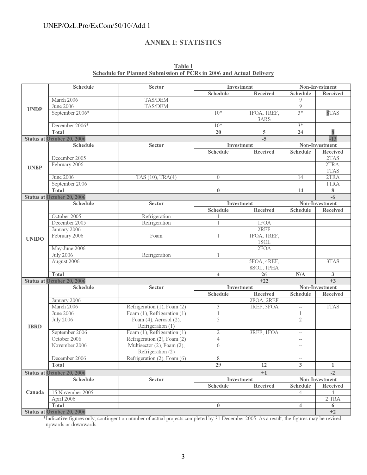# UNEP/OzL.Pro/ExCom/50/10/Add.1

### ANNEX I: STATISTICS

| <b>Table I</b>                                                             |  |  |  |  |  |  |  |  |  |  |  |
|----------------------------------------------------------------------------|--|--|--|--|--|--|--|--|--|--|--|
| <b>Schedule for Planned Submission of PCRs in 2006 and Actual Delivery</b> |  |  |  |  |  |  |  |  |  |  |  |

| <b>Schedule</b> |                                                      | <b>Sector</b>                                                    | Investment                    |                        | Non-Investment               |                |  |  |
|-----------------|------------------------------------------------------|------------------------------------------------------------------|-------------------------------|------------------------|------------------------------|----------------|--|--|
|                 |                                                      |                                                                  | <b>Schedule</b>               | <b>Received</b>        | <b>Schedule</b>              | Received       |  |  |
|                 | March 2006                                           | TAS/DEM                                                          |                               |                        | 9                            |                |  |  |
|                 | June 2006                                            | TAS/DEM                                                          |                               |                        | 9                            |                |  |  |
| <b>UNDP</b>     | September 2006*                                      |                                                                  | $10*$                         | 1FOA, 1REF,<br>3ARS    | $3*$                         | 8TAS           |  |  |
|                 | December 2006*                                       |                                                                  | $10*$                         |                        | $3*$                         |                |  |  |
|                 | <b>Total</b>                                         |                                                                  | 20                            | $\overline{5}$         | 24                           |                |  |  |
|                 | <b>Status at October 20, 2006</b>                    |                                                                  |                               | $-5$                   |                              | $-13$          |  |  |
|                 | <b>Schedule</b>                                      | <b>Sector</b>                                                    | Investment                    |                        |                              | Non-Investment |  |  |
|                 |                                                      |                                                                  | <b>Schedule</b>               | Received               | <b>Schedule</b>              | Received       |  |  |
|                 | December 2005                                        |                                                                  |                               |                        |                              | 2TAS           |  |  |
| <b>UNEP</b>     | February 2006                                        |                                                                  |                               |                        |                              | 2TRA,<br>1TAS  |  |  |
|                 | June 2006                                            | TAS (10), TRA(4)                                                 | $\overline{0}$                |                        | 14                           | 2TRA           |  |  |
|                 | September 2006                                       |                                                                  |                               |                        |                              | 1TRA           |  |  |
|                 | <b>Total</b>                                         |                                                                  | $\bf{0}$                      |                        | 14                           | 8              |  |  |
|                 | <b>Status at October 20, 2006</b>                    |                                                                  |                               |                        |                              | $-6$           |  |  |
|                 | <b>Schedule</b>                                      | <b>Sector</b>                                                    | Investment                    |                        |                              | Non-Investment |  |  |
|                 |                                                      |                                                                  | <b>Schedule</b>               | <b>Received</b>        | <b>Schedule</b>              | Received       |  |  |
|                 | October 2005                                         | Refrigeration                                                    |                               |                        |                              |                |  |  |
|                 | December 2005                                        | Refrigeration                                                    |                               | 1FOA                   |                              |                |  |  |
|                 | January 2006                                         |                                                                  |                               | 2REF                   |                              |                |  |  |
| <b>UNIDO</b>    | February 2006                                        | Foam                                                             | 1                             | IFOA, IREF,            |                              |                |  |  |
|                 |                                                      |                                                                  |                               | 1SOL                   |                              |                |  |  |
|                 | May-June 2006                                        |                                                                  |                               | 2FOA                   |                              |                |  |  |
|                 | <b>July 2006</b>                                     | Refrigeration                                                    |                               |                        |                              |                |  |  |
|                 | August 2006                                          |                                                                  |                               | 5FOA, 4REF,            |                              | 3TAS           |  |  |
|                 |                                                      |                                                                  |                               | 8SOL, 1PHA             |                              |                |  |  |
|                 | <b>Total</b>                                         |                                                                  | $\overline{\mathbf{4}}$       | 26                     | $\rm N/A$                    | 3              |  |  |
|                 | <b>Status at October 20, 2006</b><br><b>Schedule</b> |                                                                  |                               | $+22$                  |                              | $+3$           |  |  |
|                 |                                                      | <b>Sector</b>                                                    | Investment<br><b>Schedule</b> |                        |                              | Non-Investment |  |  |
|                 | January 2006                                         |                                                                  |                               | Received<br>2FOA, 2REF | <b>Schedule</b>              | Received       |  |  |
|                 | March 2006                                           | Refrigeration (1), Foam (2)                                      | 3                             | IREF, 3FOA             |                              | 1TAS           |  |  |
|                 | June 2006                                            |                                                                  | 1                             |                        | $\overline{\phantom{a}}$     |                |  |  |
|                 | <b>July 2006</b>                                     | Foam $(1)$ , Refrigeration $(1)$<br>Foam $(4)$ , Aerosol $(2)$ , | 5                             |                        | $\mathbf{1}$<br>$\mathbf{2}$ |                |  |  |
| <b>IBRD</b>     |                                                      | Refrigeration (1)                                                |                               |                        |                              |                |  |  |
|                 | September 2006                                       | Foam (1), Refrigeration (1)                                      | $\mathfrak 2$                 | 3REF, 1FOA             | $-$                          |                |  |  |
|                 | October 2006                                         | Refrigeration (2), Foam (2)                                      | $\overline{4}$                |                        | $- -$                        |                |  |  |
|                 | November 2006                                        | Multisector (2), Foam (2),                                       | 6                             |                        | $-\!$                        |                |  |  |
|                 |                                                      | Refrigeration (2)                                                |                               |                        |                              |                |  |  |
|                 | December 2006                                        | Refrigeration (2), Foam (6)                                      | 8                             |                        | $\overline{\phantom{a}}$     |                |  |  |
|                 | Total                                                |                                                                  | 29                            | 12                     | 3                            | 1              |  |  |
|                 | <b>Status at October 20, 2006</b>                    |                                                                  |                               | $+1$                   |                              | $-2$           |  |  |
|                 | <b>Schedule</b>                                      | <b>Sector</b>                                                    | Investment                    |                        |                              | Non-Investment |  |  |
|                 |                                                      |                                                                  | <b>Schedule</b>               | Received               | <b>Schedule</b>              | Received       |  |  |
| Canada          | 15 November 2005                                     |                                                                  |                               |                        | 4                            | 4              |  |  |
|                 | April 2006                                           |                                                                  |                               |                        |                              | 2 TRA          |  |  |
|                 | <b>Total</b>                                         |                                                                  | $\bf{0}$                      |                        | $\overline{4}$               | 6              |  |  |
|                 | <b>Status at October 20, 2006</b>                    |                                                                  |                               |                        |                              | $+2$           |  |  |

\*Indicative figures only, contingent on number of actual projects completed by 31 December 2005. As a result, the figures may be revised upwards or downwards.